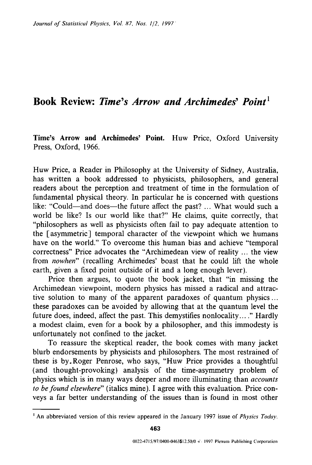## **Book Review:** *Time's Arrow and Archimedes' Point 1*

Time's **Arrow and** Archimedes' Point. Huw Price, Oxford University Press, Oxford, 1966.

Huw Price, a Reader in Philosophy at the University of Sidney, Australia, has written a book addressed to physicists, philosophers, and general readers about the perception and treatment of time in the formulation of fundamental physical theory. In particular he is concerned with questions like: "Could—and does—the future affect the past? ... What would such a world be like? Is our world like that?" He claims, quite correctly, that "philosophers as well as physicists often fail to pay adequate attention to the [asymmetric] temporal character of the viewpoint which we humans have on the world." To overcome this human bias and achieve "temporal correctness" Price advocates the "Archimedean view of reality ... the view from *nowhen"* (recalling Archimedes' boast that he could lift the whole earth, given a fixed point outside of it and a long enough lever).

Price then argues, to quote the book jacket, that "in missing the Archimedean viewpoint, modern physics has missed a radical and attractive solution to many of the apparent paradoxes of quantum physics... these paradoxes can be avoided by allowing that at the quantum level the future does, indeed, affect the past. This demystifies nonlocality .... " Hardly a modest claim, even for a book by a philosopher, and this immodesty is unfortunately not confined to the jacket.

To reassure the skeptical reader, the book comes with many jacket blurb endorsements by physicists and philosophers. The most restrained of these is by.Roger Penrose, who says, "Huw Price provides a thoughtful (and thought-provoking) analysis of the time-asymmetry problem of physics which is in many ways deeper and more illuminating than *accounts to be found elsewhere"* (italics mine). I agree with this evaluation. Price conveys a far better understanding of the issues than is found in most other

i An abbreviated version of this review appeared in the January 1997 issue of *Physics Today.*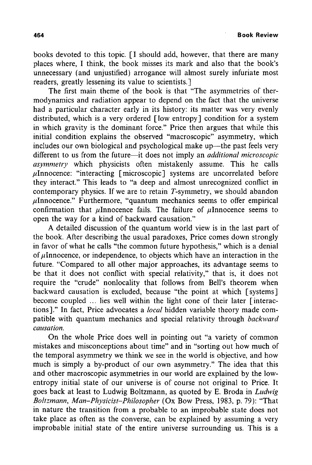books devoted to this topic. [I should add, however, that there are many places where, I think, the book misses its mark and also that the book's unnecessary (and unjustified) arrogance will almost surely infuriate most readers, greatly lessening its value to scientists.]

The first main theme of the book is that "The asymmetries of thermodynamics and radiation appear to depend on the fact that the universe had a particular character early in its history: its matter was very evenly distributed, which is a very ordered [low entropy] condition for a system in which gravity is the dominant force." Price then argues that while this initial condition explains the observed "macroscopic" asymmetry, which includes our own biological and psychological make up—the past feels very different to us from the future--it does not imply an *additional microscopic asymmetry* which physicists often mistakenly assume. This he calls  $\mu$ Innocence: "interacting [microscopic] systems are uncorrelated before they interact." This leads to "a deep and almost unrecognized conflict in contemporary physics. If we are to retain T-symmetry, we should abandon  $\mu$ Innocence." Furthermore, "quantum mechanics seems to offer empirical confirmation that  $\mu$ Innocence fails. The failure of  $\mu$ Innocence seems to open the way for a kind of backward causation."

A detailed discussion of the quantum world view is in the last part of the book. After describing the usual paradoxes, Price comes down strongly in favor of what he calls "the common future hypothesis," which is a denial of  $\mu$ Innocence, or independence, to objects which have an interaction in the future. "Compared to all other major approaches, its advantage seems to be that it does not conflict with special relativity," that is, it does not require the "crude" nonlocality that follows from Bell's theorem when backward causation is excluded, because "the point at which [systems] become coupled ... lies well within the light cone of their later [interactions]." In fact, Price advocates a *local* hidden variable theory made compatible with quantum mechanics and special relativity through *backward causation.* 

On the whole Price does well in pointing out "a variety of common mistakes and misconceptions about time" and in "sorting out how much of the temporal asymmetry we think we see in the world is objective, and how much is simply a by-product of our own asymmetry." The idea that this and other macroscopic asymmetries in our world are explained by the lowentropy initial state of our universe is of course not original to Price. It goes back at least to Ludwig Boltzmann, as quoted by E. Broda in *Ludwig Boltzmann, Man-Physicist-Philosopher* (Ox Bow Press, 1983, p. 79): "That in nature the transition from a probable to an improbable state does not take place as often as the converse, can be explained by assuming a very improbable initial state of the entire universe surrounding us. This is a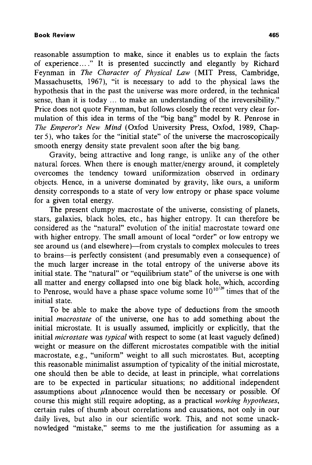## **Book Review 465**

reasonable assumption to make, since it enables us to explain the facts of experience .... " It is presented succinctly and elegantly by Richard Feynman in *The Character of Physical Law* (MIT Press, Cambridge, Massachusetts, 1967), "it is necessary to add to the physical laws the hypothesis that in the past the universe was more ordered, in the technical sense, than it is today ... to make an understanding of the irreversibility." Price does not quote Feynman, but follows closely the recent very clear formulation of this idea in terms of the "big bang" model by R. Penrose in *The Emperor's New Mind* (Oxfod University Press, Oxfod, 1989, Chapter 5), who takes for the "initial state" of the universe the macroscopicatly smooth energy density state prevalent soon after the big bang.

Gravity, being attractive and long range, is unlike any of the other natural forces. When there is enough matter/energy around, it completely overcomes the tendency toward uniformization observed in ordinary objects. Hence, in a universe dominated by gravity, like ours, a uniform density corresponds to a state of very low entropy or phase space volume for a given total energy.

The present clumpy macrostate of the universe, consisting of planets, stars, galaxies, black holes, etc., has higher entropy. It can therefore be considered as the "natural" evolution of the initial macrostate toward one with higher entropy. The small amount of local "order" or low entropy we see around us (and elsewhere)—from crystals to complex molecules to trees to brains--is perfectly consistent (and presumably even a consequence) of the much larger increase in the total entropy of the universe above its initial state. The "natural" or "equilibrium state" of the universe is one with all matter and energy collapsed into one big black hole, which, according to Penrose, would have a phase space volume some  $10^{10^{120}}$  times that of the initial state.

To be able to make the above type of deductions from the smooth initial *macrostate* of the universe, one has to add something about the initial microstate. It is usually assumed, implicitly or explicitly, that the initial *microstate* was *typical* with respect to some (at least vaguely defined) weight or measure on the different microstates compatible with the initial macrostate, e.g., "uniform" weight to all such microstates. But, accepting this reasonable minimalist assumption of typicality of the initial microstate, one should then be able to decide, at least in principle, what correlations are to be expected in particular situations; no additional independent assumptions about  $\mu$ Innocence would then be necessary or possible. Of course this might still require adopting, as a practical *working hypotheses*, certain rules of thumb about correlations and causations, not only in our daily lives, but also in our scientific work. This, and not some unacknowledged "mistake," seems to me the justification for assuming as a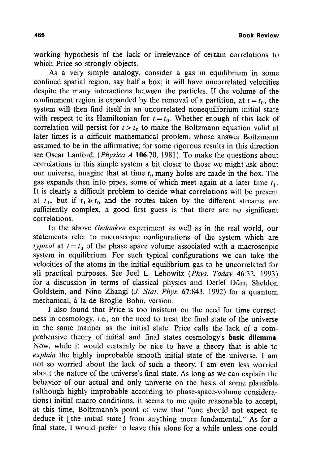working hypothesis of the lack or irrelevance of certain correlations to which Price so strongly objects.

As a very simple analogy, consider a gas in equilibrium in some confined spatial region, say half a box; it will have uncorrelated velocities despite the many interactions between the particles. If the volume of the confinement region is expanded by the removal of a partition, at  $t = t_0$ , the system will then find itself in an uncorrelated nonequilibrium initial state with respect to its Hamiltonian for  $t = t_0$ . Whether enough of this lack of correlation will persist for  $t > t_0$  to make the Boltzmann equation valid at later times is a difficult mathematical problem, whose answer Bottzmann assumed to be in the affirmative; for some rigorous results in this direction see Oscar Lanford, *(Physica A* 106:70, 1981 ). To make the questions about correlations in this simple system a bit closer to those we might ask about our universe, imagine that at time  $t_0$  many holes are made in the box. The gas expands then into pipes, some of which meet again at a later time  $t<sub>1</sub>$ . It is clearly a difficult problem to decide what correlations will be present at  $t_1$ , but if  $t_1 \geq t_0$  and the routes taken by the different streams are sufficiently complex, a good first guess is that there are no significant correlations.

In the above *Gedanken* experiment as well as in the real world, our statements refer to microscopic configurations of the system which are *typical* at  $t = t_0$  of the phase space volume associated with a macroscopic system in equilibrium. For such typical configurations we can take the velocities of the atoms in the initial equilibrium gas to be uncorrelated for all practical purposes. See Joel L. Lebowitz *(Phys. Today* 46:32, 1993) for a discussion in terms of classical physics and Detlef Dürr, Sheldon Goldstein, and Nino Zhangi *(J. Stat. Phys.* 67:843, 1992) for a quantum mechanical, à la de Broglie-Bohn, version.

I also found that Price is too insistent on the need for time correctness in cosmology, i.e., on the need to treat the final state of the universe in the same manner as the initial state. Price calls the lack of a comprehensive theory of initial and final states cosmology's basic dilemma. Now, while it would certainly be nice to have a theory that is able to *explain* the highly improbable smooth initial state of the universe, I am not so worried about the lack of such a theory. I am even less worried about the nature of the universe's final state. As long as we can explain the behavior of our actual and only universe on the basis of some plausible (although highly improbable according to phase-space-volume considerations) initial macro conditions, it seems to me quite reasonable to accept, at this time, Boltzmann's point of view that "one should not expect to deduce it [the initial state] from anything more fundamental." As for a final state, I would prefer to leave this alone for a while unless one could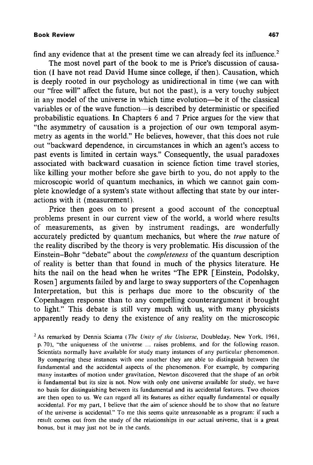## **Book Review** 467

find any evidence that at the present time we can already feel its influence.<sup>2</sup>

The most novel part of the book to me is Price's discussion of causation (I have not read David Hume since college, if then). Causation, which is deeply rooted in our psychology as unidirectional in time (we can with our "free will" affect the future, but not the past), is a very touchy subject in any model of the universe in which time evolution--be it of the classical variables or of the wave function--is described by deterministic or specified probabilistic equations. In Chapters 6 and 7 Price argues for the view that "the asymmetry of causation is a projection of our own temporal asymmetry as agents in the world." He believes, however, that this does not rule out "backward dependence, in circumstances in which an agent's access to past events is limited in certain ways." Consequently, the usual paradoxes associated with backward cuasation in science fiction time travel stories, like killing your mother before she gave birth to you, do not apply to the microscopic world of quantum mechanics, in which we cannot gain complete knowledge of a system's state without affecting that state by our interactions with it (measurement).

Price then goes on to present a good account of the conceptual problems present in our current view of the world, a world where results of measurements, as given by instrument readings, are wonderfully accurately predicted by quantum mechanics, but where the *true* nature of the reality discribed by the theory is very problematic. His discussion of the Einstein-Bohr "debate" about the *completeness* of the quantum description of reality is better than that found in much of the physics literature. He hits the nail on the head when he writes "The EPR [Einstein, Podolsky, Rosen] arguments failed by and large to sway supporters of the Copenhagen Interpretation, but this is perhaps due more to the obscurity of the Copenhagen response than to any compelling counterargument it brought to light." This debate is still very much with us, with many physicists apparently ready to deny the existence of any reality on the microscopic

<sup>2</sup> As remarked by Dennis Sciama *(The Unity of the Universe, Doubleday, New York, 1961,* p. 70), "the uniqueness of the universe ... raises problems, and for the following reason. Scientists normally have available for study many instances of any particular phenomenon. By comparing these instances with one another they are able to distinguish between the fundamental and the accidental aspects of the phenomenon. For example, by comparing many instances of motion under gravitation, Newton discovered that the shape of an orbit is fundamental but its size is not. Now with only one universe available for study, we have no basis for distinguishing between its fundamental and its accidental features. Two choices are then open to us. We can regard all its features as either equally fundamental or equally accidental. For my part, 1 believe that the aim of science should be to show that no feature of the universe is accidental." To me this seems quite unreasonable as a program: if such a result comes out from the study of the relationships in our actual universe, that is a great bonus, but it may just not be in the cards.